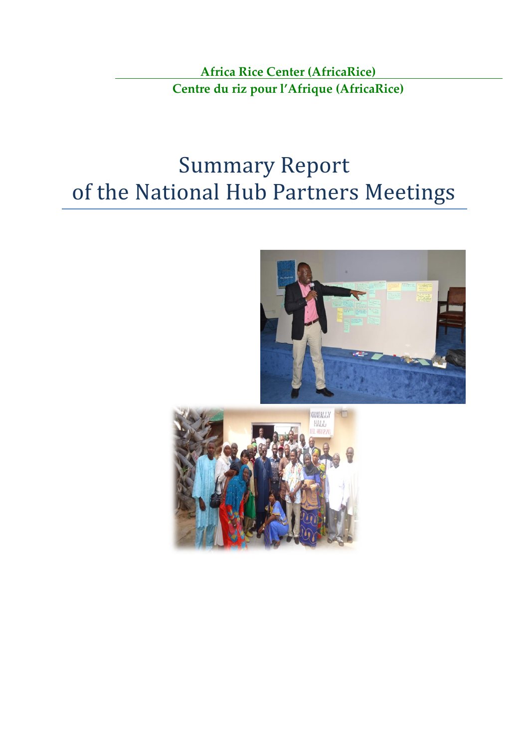**Africa Rice Center (AfricaRice) Centre du riz pour l'Afrique (AfricaRice)**

# Summary Report of the National Hub Partners Meetings



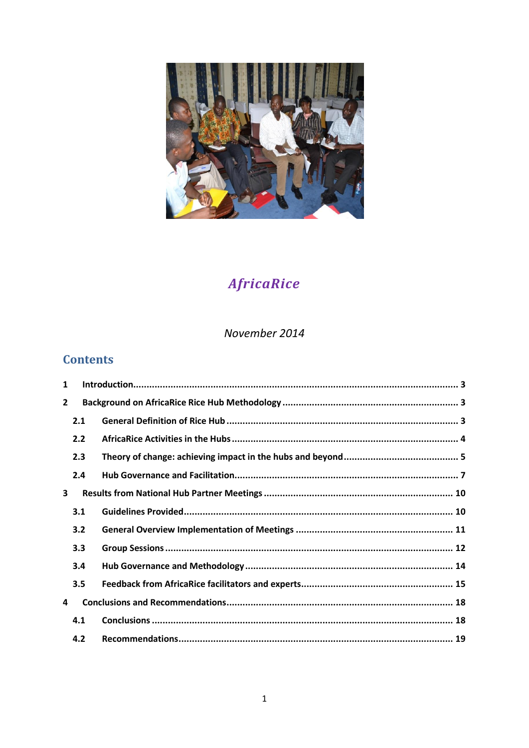

## AfricaRice

November 2014

## **Contents**

| 1              |     |  |
|----------------|-----|--|
| $\overline{2}$ |     |  |
|                | 2.1 |  |
|                | 2.2 |  |
|                | 2.3 |  |
|                | 2.4 |  |
| 3              |     |  |
|                | 3.1 |  |
|                | 3.2 |  |
|                | 3.3 |  |
|                | 3.4 |  |
|                | 3.5 |  |
| 4              |     |  |
|                | 4.1 |  |
|                | 4.2 |  |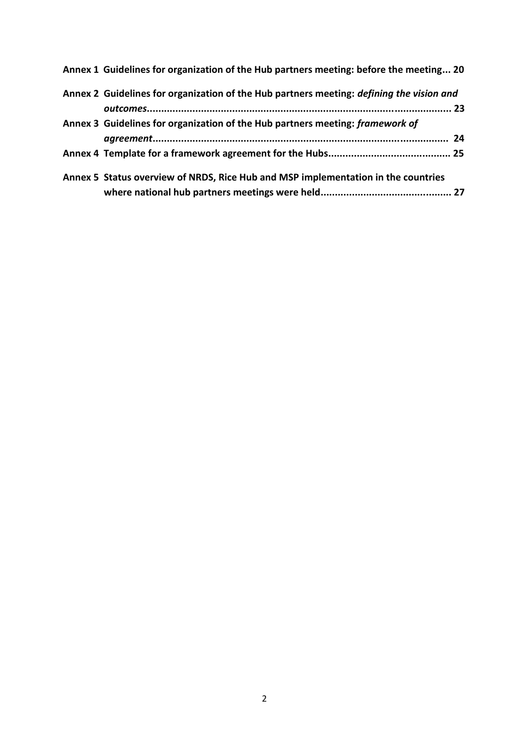| Annex 1 Guidelines for organization of the Hub partners meeting: before the meeting 20   |  |
|------------------------------------------------------------------------------------------|--|
| Annex 2 Guidelines for organization of the Hub partners meeting: defining the vision and |  |
|                                                                                          |  |
| Annex 3 Guidelines for organization of the Hub partners meeting: framework of            |  |
|                                                                                          |  |
|                                                                                          |  |
| Annex 5 Status overview of NRDS, Rice Hub and MSP implementation in the countries        |  |
|                                                                                          |  |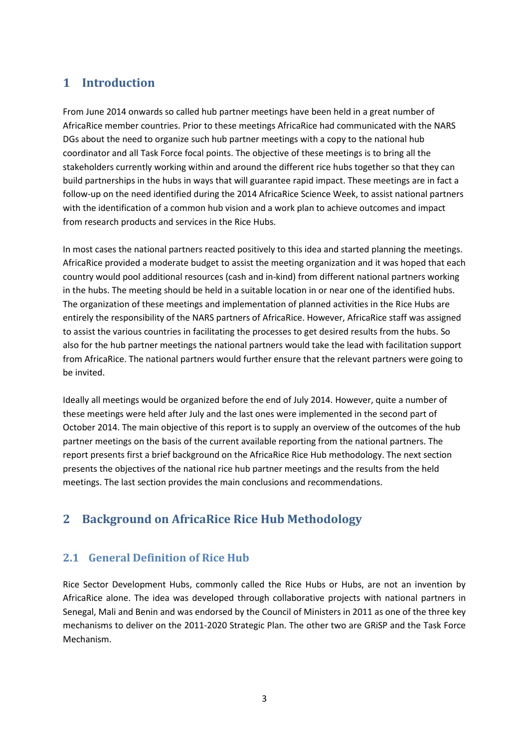## <span id="page-3-0"></span>**1 Introduction**

From June 2014 onwards so called hub partner meetings have been held in a great number of AfricaRice member countries. Prior to these meetings AfricaRice had communicated with the NARS DGs about the need to organize such hub partner meetings with a copy to the national hub coordinator and all Task Force focal points. The objective of these meetings is to bring all the stakeholders currently working within and around the different rice hubs together so that they can build partnerships in the hubs in ways that will guarantee rapid impact. These meetings are in fact a follow-up on the need identified during the 2014 AfricaRice Science Week, to assist national partners with the identification of a common hub vision and a work plan to achieve outcomes and impact from research products and services in the Rice Hubs.

In most cases the national partners reacted positively to this idea and started planning the meetings. AfricaRice provided a moderate budget to assist the meeting organization and it was hoped that each country would pool additional resources (cash and in-kind) from different national partners working in the hubs. The meeting should be held in a suitable location in or near one of the identified hubs. The organization of these meetings and implementation of planned activities in the Rice Hubs are entirely the responsibility of the NARS partners of AfricaRice. However, AfricaRice staff was assigned to assist the various countries in facilitating the processes to get desired results from the hubs. So also for the hub partner meetings the national partners would take the lead with facilitation support from AfricaRice. The national partners would further ensure that the relevant partners were going to be invited.

Ideally all meetings would be organized before the end of July 2014. However, quite a number of these meetings were held after July and the last ones were implemented in the second part of October 2014. The main objective of this report is to supply an overview of the outcomes of the hub partner meetings on the basis of the current available reporting from the national partners. The report presents first a brief background on the AfricaRice Rice Hub methodology. The next section presents the objectives of the national rice hub partner meetings and the results from the held meetings. The last section provides the main conclusions and recommendations.

## <span id="page-3-1"></span>**2 Background on AfricaRice Rice Hub Methodology**

## <span id="page-3-2"></span>**2.1 General Definition of Rice Hub**

Rice Sector Development Hubs, commonly called the Rice Hubs or Hubs, are not an invention by AfricaRice alone. The idea was developed through collaborative projects with national partners in Senegal, Mali and Benin and was endorsed by the Council of Ministers in 2011 as one of the three key mechanisms to deliver on the 2011-2020 Strategic Plan. The other two are GRiSP and the Task Force Mechanism.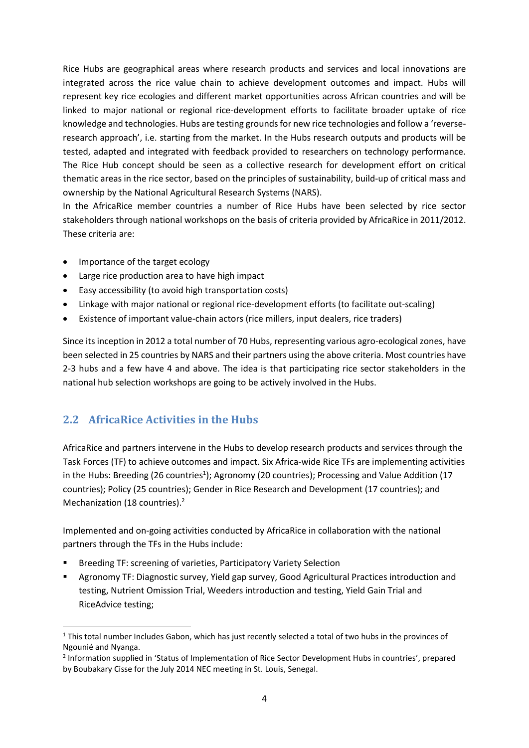Rice Hubs are geographical areas where research products and services and local innovations are integrated across the rice value chain to achieve development outcomes and impact. Hubs will represent key rice ecologies and different market opportunities across African countries and will be linked to major national or regional rice-development efforts to facilitate broader uptake of rice knowledge and technologies. Hubs are testing grounds for new rice technologies and follow a 'reverseresearch approach', i.e. starting from the market. In the Hubs research outputs and products will be tested, adapted and integrated with feedback provided to researchers on technology performance. The Rice Hub concept should be seen as a collective research for development effort on critical thematic areas in the rice sector, based on the principles of sustainability, build-up of critical mass and ownership by the National Agricultural Research Systems (NARS).

In the AfricaRice member countries a number of Rice Hubs have been selected by rice sector stakeholders through national workshops on the basis of criteria provided by AfricaRice in 2011/2012. These criteria are:

- Importance of the target ecology
- Large rice production area to have high impact
- Easy accessibility (to avoid high transportation costs)
- Linkage with major national or regional rice-development efforts (to facilitate out-scaling)
- Existence of important value-chain actors (rice millers, input dealers, rice traders)

Since its inception in 2012 a total number of 70 Hubs, representing various agro-ecological zones, have been selected in 25 countries by NARS and their partners using the above criteria. Most countries have 2-3 hubs and a few have 4 and above. The idea is that participating rice sector stakeholders in the national hub selection workshops are going to be actively involved in the Hubs.

#### <span id="page-4-0"></span>**2.2 AfricaRice Activities in the Hubs**

AfricaRice and partners intervene in the Hubs to develop research products and services through the Task Forces (TF) to achieve outcomes and impact. Six Africa-wide Rice TFs are implementing activities in the Hubs: Breeding (26 countries<sup>1</sup>); Agronomy (20 countries); Processing and Value Addition (17 countries); Policy (25 countries); Gender in Rice Research and Development (17 countries); and Mechanization (18 countries). 2

Implemented and on-going activities conducted by AfricaRice in collaboration with the national partners through the TFs in the Hubs include:

- Breeding TF: screening of varieties, Participatory Variety Selection
- Agronomy TF: Diagnostic survey, Yield gap survey, Good Agricultural Practices introduction and testing, Nutrient Omission Trial, Weeders introduction and testing, Yield Gain Trial and RiceAdvice testing;

 $1$  This total number Includes Gabon, which has just recently selected a total of two hubs in the provinces of Ngounié and Nyanga.

<sup>&</sup>lt;sup>2</sup> Information supplied in 'Status of Implementation of Rice Sector Development Hubs in countries', prepared by Boubakary Cisse for the July 2014 NEC meeting in St. Louis, Senegal.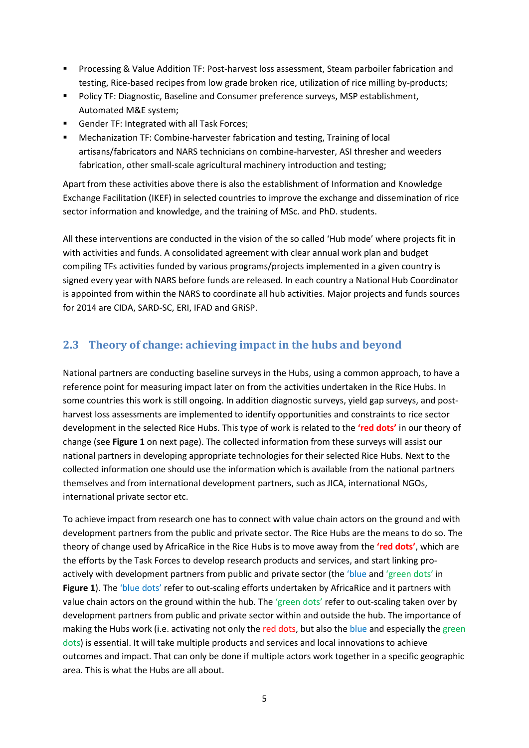- Processing & Value Addition TF: Post-harvest loss assessment, Steam parboiler fabrication and testing, Rice-based recipes from low grade broken rice, utilization of rice milling by-products;
- Policy TF: Diagnostic, Baseline and Consumer preference surveys, MSP establishment, Automated M&E system;
- Gender TF: Integrated with all Task Forces;
- Mechanization TF: Combine-harvester fabrication and testing, Training of local artisans/fabricators and NARS technicians on combine-harvester, ASI thresher and weeders fabrication, other small-scale agricultural machinery introduction and testing;

Apart from these activities above there is also the establishment of Information and Knowledge Exchange Facilitation (IKEF) in selected countries to improve the exchange and dissemination of rice sector information and knowledge, and the training of MSc. and PhD. students.

All these interventions are conducted in the vision of the so called 'Hub mode' where projects fit in with activities and funds. A consolidated agreement with clear annual work plan and budget compiling TFs activities funded by various programs/projects implemented in a given country is signed every year with NARS before funds are released. In each country a National Hub Coordinator is appointed from within the NARS to coordinate all hub activities. Major projects and funds sources for 2014 are CIDA, SARD-SC, ERI, IFAD and GRiSP.

## <span id="page-5-0"></span>**2.3 Theory of change: achieving impact in the hubs and beyond**

National partners are conducting baseline surveys in the Hubs, using a common approach, to have a reference point for measuring impact later on from the activities undertaken in the Rice Hubs. In some countries this work is still ongoing. In addition diagnostic surveys, yield gap surveys, and postharvest loss assessments are implemented to identify opportunities and constraints to rice sector development in the selected Rice Hubs. This type of work is related to the **'red dots'** in our theory of change (see **Figure 1** on next page). The collected information from these surveys will assist our national partners in developing appropriate technologies for their selected Rice Hubs. Next to the collected information one should use the information which is available from the national partners themselves and from international development partners, such as JICA, international NGOs, international private sector etc.

To achieve impact from research one has to connect with value chain actors on the ground and with development partners from the public and private sector. The Rice Hubs are the means to do so. The theory of change used by AfricaRice in the Rice Hubs is to move away from the **'red dots'**, which are the efforts by the Task Forces to develop research products and services, and start linking proactively with development partners from public and private sector (the 'blue and 'green dots' in **Figure 1**). The 'blue dots' refer to out-scaling efforts undertaken by AfricaRice and it partners with value chain actors on the ground within the hub. The 'green dots' refer to out-scaling taken over by development partners from public and private sector within and outside the hub. The importance of making the Hubs work (i.e. activating not only the red dots, but also the blue and especially the green dots) is essential. It will take multiple products and services and local innovations to achieve outcomes and impact. That can only be done if multiple actors work together in a specific geographic area. This is what the Hubs are all about.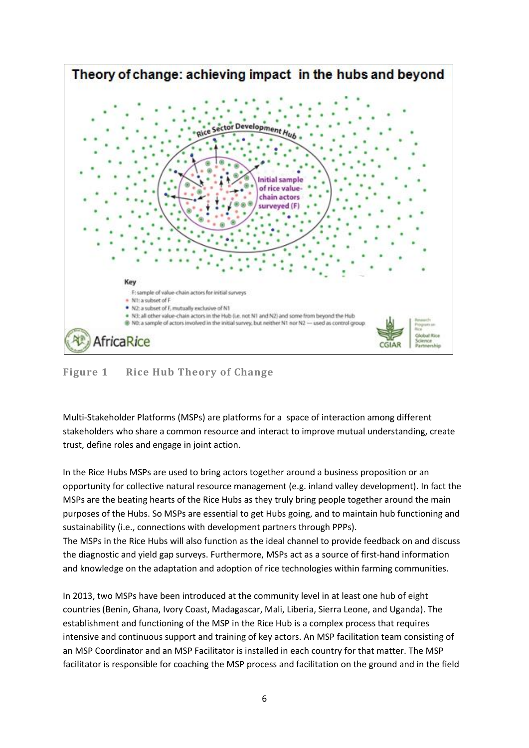

#### **Figure 1 Rice Hub Theory of Change**

Multi-Stakeholder Platforms (MSPs) are platforms for a space of interaction among different stakeholders who share a common resource and interact to improve mutual understanding, create trust, define roles and engage in joint action.

In the Rice Hubs MSPs are used to bring actors together around a business proposition or an opportunity for collective natural resource management (e.g. inland valley development). In fact the MSPs are the beating hearts of the Rice Hubs as they truly bring people together around the main purposes of the Hubs. So MSPs are essential to get Hubs going, and to maintain hub functioning and sustainability (i.e., connections with development partners through PPPs). The MSPs in the Rice Hubs will also function as the ideal channel to provide feedback on and discuss

the diagnostic and yield gap surveys. Furthermore, MSPs act as a source of first-hand information and knowledge on the adaptation and adoption of rice technologies within farming communities.

In 2013, two MSPs have been introduced at the community level in at least one hub of eight countries (Benin, Ghana, Ivory Coast, Madagascar, Mali, Liberia, Sierra Leone, and Uganda). The establishment and functioning of the MSP in the Rice Hub is a complex process that requires intensive and continuous support and training of key actors. An MSP facilitation team consisting of an MSP Coordinator and an MSP Facilitator is installed in each country for that matter. The MSP facilitator is responsible for coaching the MSP process and facilitation on the ground and in the field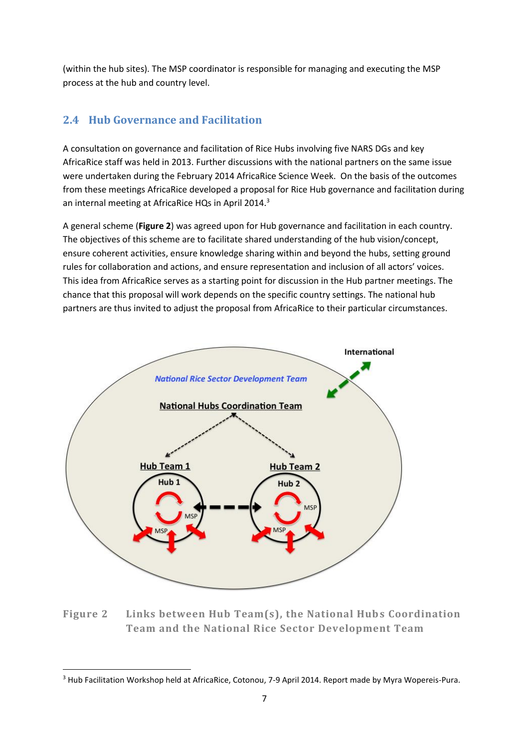(within the hub sites). The MSP coordinator is responsible for managing and executing the MSP process at the hub and country level.

## <span id="page-7-0"></span>**2.4 Hub Governance and Facilitation**

A consultation on governance and facilitation of Rice Hubs involving five NARS DGs and key AfricaRice staff was held in 2013. Further discussions with the national partners on the same issue were undertaken during the February 2014 AfricaRice Science Week. On the basis of the outcomes from these meetings AfricaRice developed a proposal for Rice Hub governance and facilitation during an internal meeting at AfricaRice HQs in April 2014.<sup>3</sup>

A general scheme (**Figure 2**) was agreed upon for Hub governance and facilitation in each country. The objectives of this scheme are to facilitate shared understanding of the hub vision/concept, ensure coherent activities, ensure knowledge sharing within and beyond the hubs, setting ground rules for collaboration and actions, and ensure representation and inclusion of all actors' voices. This idea from AfricaRice serves as a starting point for discussion in the Hub partner meetings. The chance that this proposal will work depends on the specific country settings. The national hub partners are thus invited to adjust the proposal from AfricaRice to their particular circumstances.



**Figure 2 Links between Hub Team(s), the National Hubs Coordination Team and the National Rice Sector Development Team**

<sup>&</sup>lt;sup>3</sup> Hub Facilitation Workshop held at AfricaRice, Cotonou, 7-9 April 2014. Report made by Myra Wopereis-Pura.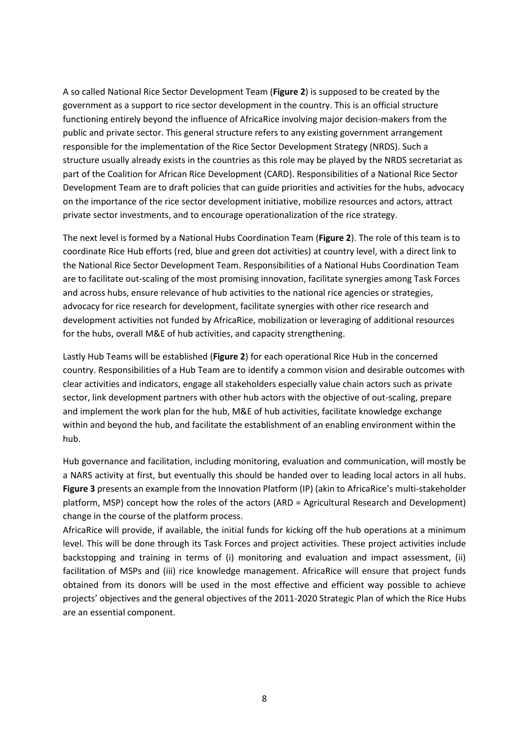A so called National Rice Sector Development Team (**Figure 2**) is supposed to be created by the government as a support to rice sector development in the country. This is an official structure functioning entirely beyond the influence of AfricaRice involving major decision-makers from the public and private sector. This general structure refers to any existing government arrangement responsible for the implementation of the Rice Sector Development Strategy (NRDS). Such a structure usually already exists in the countries as this role may be played by the NRDS secretariat as part of the Coalition for African Rice Development (CARD). Responsibilities of a National Rice Sector Development Team are to draft policies that can guide priorities and activities for the hubs, advocacy on the importance of the rice sector development initiative, mobilize resources and actors, attract private sector investments, and to encourage operationalization of the rice strategy.

The next level is formed by a National Hubs Coordination Team (**Figure 2**). The role of this team is to coordinate Rice Hub efforts (red, blue and green dot activities) at country level, with a direct link to the National Rice Sector Development Team. Responsibilities of a National Hubs Coordination Team are to facilitate out-scaling of the most promising innovation, facilitate synergies among Task Forces and across hubs, ensure relevance of hub activities to the national rice agencies or strategies, advocacy for rice research for development, facilitate synergies with other rice research and development activities not funded by AfricaRice, mobilization or leveraging of additional resources for the hubs, overall M&E of hub activities, and capacity strengthening.

Lastly Hub Teams will be established (**Figure 2**) for each operational Rice Hub in the concerned country. Responsibilities of a Hub Team are to identify a common vision and desirable outcomes with clear activities and indicators, engage all stakeholders especially value chain actors such as private sector, link development partners with other hub actors with the objective of out-scaling, prepare and implement the work plan for the hub, M&E of hub activities, facilitate knowledge exchange within and beyond the hub, and facilitate the establishment of an enabling environment within the hub.

Hub governance and facilitation, including monitoring, evaluation and communication, will mostly be a NARS activity at first, but eventually this should be handed over to leading local actors in all hubs. **Figure 3** presents an example from the Innovation Platform (IP) (akin to AfricaRice's multi-stakeholder platform, MSP) concept how the roles of the actors (ARD = Agricultural Research and Development) change in the course of the platform process.

AfricaRice will provide, if available, the initial funds for kicking off the hub operations at a minimum level. This will be done through its Task Forces and project activities. These project activities include backstopping and training in terms of (i) monitoring and evaluation and impact assessment, (ii) facilitation of MSPs and (iii) rice knowledge management. AfricaRice will ensure that project funds obtained from its donors will be used in the most effective and efficient way possible to achieve projects' objectives and the general objectives of the 2011-2020 Strategic Plan of which the Rice Hubs are an essential component.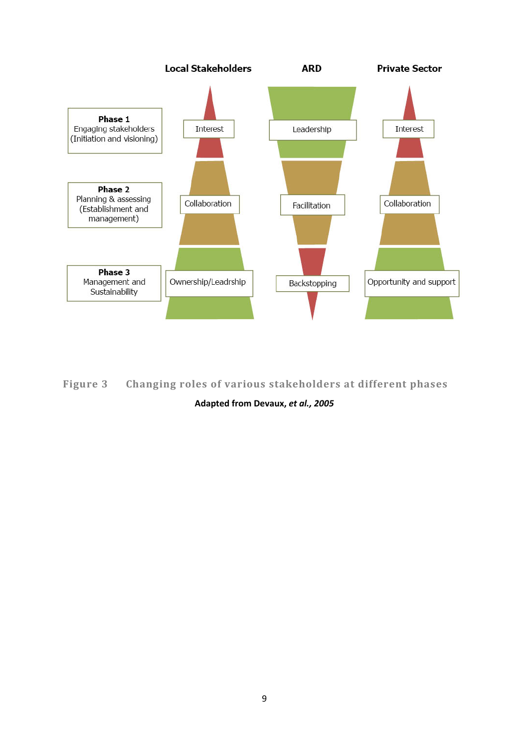

**Figure 3 Changing roles of various stakeholders at different phases**

**Adapted from Devaux,** *et al., 2005*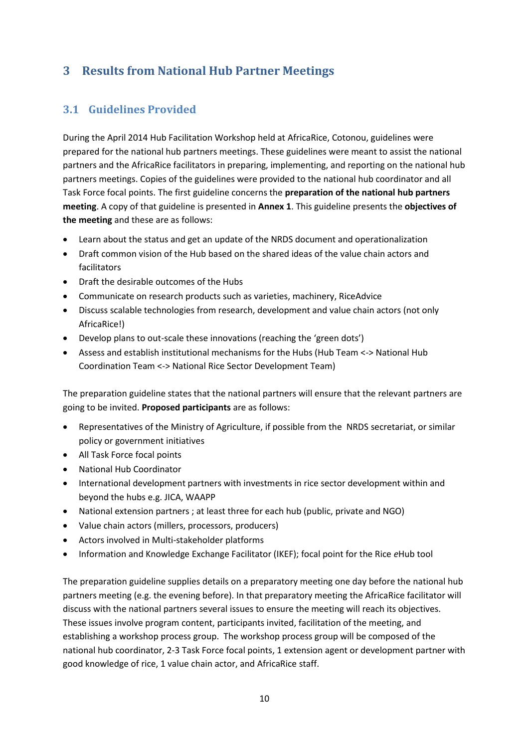## <span id="page-10-0"></span>**3 Results from National Hub Partner Meetings**

## <span id="page-10-1"></span>**3.1 Guidelines Provided**

During the April 2014 Hub Facilitation Workshop held at AfricaRice, Cotonou, guidelines were prepared for the national hub partners meetings. These guidelines were meant to assist the national partners and the AfricaRice facilitators in preparing, implementing, and reporting on the national hub partners meetings. Copies of the guidelines were provided to the national hub coordinator and all Task Force focal points. The first guideline concerns the **preparation of the national hub partners meeting**. A copy of that guideline is presented in **Annex 1**. This guideline presents the **objectives of the meeting** and these are as follows:

- Learn about the status and get an update of the NRDS document and operationalization
- Draft common vision of the Hub based on the shared ideas of the value chain actors and facilitators
- Draft the desirable outcomes of the Hubs
- Communicate on research products such as varieties, machinery, RiceAdvice
- Discuss scalable technologies from research, development and value chain actors (not only AfricaRice!)
- Develop plans to out-scale these innovations (reaching the 'green dots')
- Assess and establish institutional mechanisms for the Hubs (Hub Team <-> National Hub Coordination Team <-> National Rice Sector Development Team)

The preparation guideline states that the national partners will ensure that the relevant partners are going to be invited. **Proposed participants** are as follows:

- Representatives of the Ministry of Agriculture, if possible from the NRDS secretariat, or similar policy or government initiatives
- All Task Force focal points
- National Hub Coordinator
- International development partners with investments in rice sector development within and beyond the hubs e.g. JICA, WAAPP
- National extension partners ; at least three for each hub (public, private and NGO)
- Value chain actors (millers, processors, producers)
- Actors involved in Multi-stakeholder platforms
- Information and Knowledge Exchange Facilitator (IKEF); focal point for the Rice *e*Hub tool

The preparation guideline supplies details on a preparatory meeting one day before the national hub partners meeting (e.g. the evening before). In that preparatory meeting the AfricaRice facilitator will discuss with the national partners several issues to ensure the meeting will reach its objectives. These issues involve program content, participants invited, facilitation of the meeting, and establishing a workshop process group. The workshop process group will be composed of the national hub coordinator, 2-3 Task Force focal points, 1 extension agent or development partner with good knowledge of rice, 1 value chain actor, and AfricaRice staff.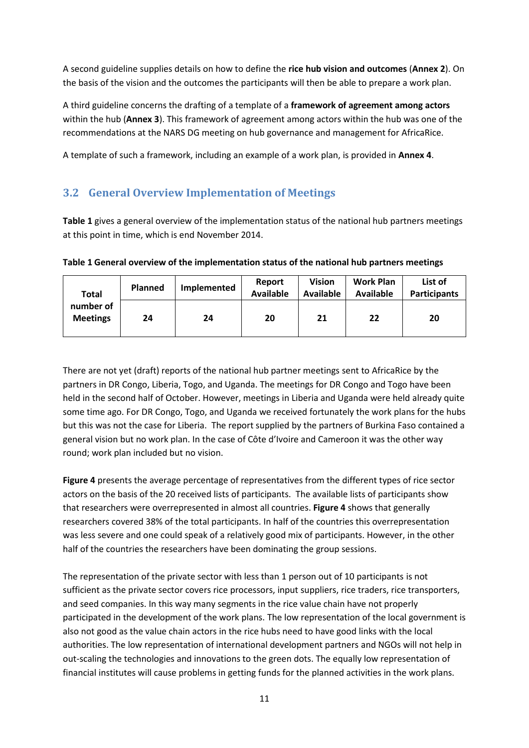A second guideline supplies details on how to define the **rice hub vision and outcomes** (**Annex 2**). On the basis of the vision and the outcomes the participants will then be able to prepare a work plan.

A third guideline concerns the drafting of a template of a **framework of agreement among actors** within the hub (**Annex 3**). This framework of agreement among actors within the hub was one of the recommendations at the NARS DG meeting on hub governance and management for AfricaRice.

A template of such a framework, including an example of a work plan, is provided in **Annex 4**.

## <span id="page-11-0"></span>**3.2 General Overview Implementation of Meetings**

**Table 1** gives a general overview of the implementation status of the national hub partners meetings at this point in time, which is end November 2014.

|  |  |  | Table 1 General overview of the implementation status of the national hub partners meetings |
|--|--|--|---------------------------------------------------------------------------------------------|
|--|--|--|---------------------------------------------------------------------------------------------|

| <b>Total</b>                 | <b>Planned</b> | Implemented | Report<br><b>Available</b> | <b>Vision</b><br><b>Available</b> | <b>Work Plan</b><br>Available | List of<br><b>Participants</b> |
|------------------------------|----------------|-------------|----------------------------|-----------------------------------|-------------------------------|--------------------------------|
| number of<br><b>Meetings</b> | 24             | 24          | 20                         | 21                                | 22                            | 20                             |

There are not yet (draft) reports of the national hub partner meetings sent to AfricaRice by the partners in DR Congo, Liberia, Togo, and Uganda. The meetings for DR Congo and Togo have been held in the second half of October. However, meetings in Liberia and Uganda were held already quite some time ago. For DR Congo, Togo, and Uganda we received fortunately the work plans for the hubs but this was not the case for Liberia. The report supplied by the partners of Burkina Faso contained a general vision but no work plan. In the case of Côte d'Ivoire and Cameroon it was the other way round; work plan included but no vision.

**Figure 4** presents the average percentage of representatives from the different types of rice sector actors on the basis of the 20 received lists of participants. The available lists of participants show that researchers were overrepresented in almost all countries. **Figure 4** shows that generally researchers covered 38% of the total participants. In half of the countries this overrepresentation was less severe and one could speak of a relatively good mix of participants. However, in the other half of the countries the researchers have been dominating the group sessions.

The representation of the private sector with less than 1 person out of 10 participants is not sufficient as the private sector covers rice processors, input suppliers, rice traders, rice transporters, and seed companies. In this way many segments in the rice value chain have not properly participated in the development of the work plans. The low representation of the local government is also not good as the value chain actors in the rice hubs need to have good links with the local authorities. The low representation of international development partners and NGOs will not help in out-scaling the technologies and innovations to the green dots. The equally low representation of financial institutes will cause problems in getting funds for the planned activities in the work plans.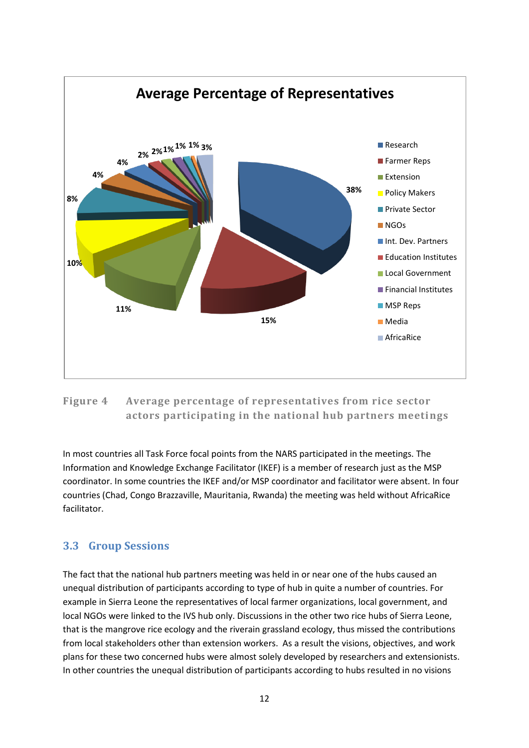

#### **Figure 4 Average percentage of representatives from rice sector actors participating in the national hub partners meetings**

In most countries all Task Force focal points from the NARS participated in the meetings. The Information and Knowledge Exchange Facilitator (IKEF) is a member of research just as the MSP coordinator. In some countries the IKEF and/or MSP coordinator and facilitator were absent. In four countries (Chad, Congo Brazzaville, Mauritania, Rwanda) the meeting was held without AfricaRice facilitator.

#### <span id="page-12-0"></span>**3.3 Group Sessions**

The fact that the national hub partners meeting was held in or near one of the hubs caused an unequal distribution of participants according to type of hub in quite a number of countries. For example in Sierra Leone the representatives of local farmer organizations, local government, and local NGOs were linked to the IVS hub only. Discussions in the other two rice hubs of Sierra Leone, that is the mangrove rice ecology and the riverain grassland ecology, thus missed the contributions from local stakeholders other than extension workers. As a result the visions, objectives, and work plans for these two concerned hubs were almost solely developed by researchers and extensionists. In other countries the unequal distribution of participants according to hubs resulted in no visions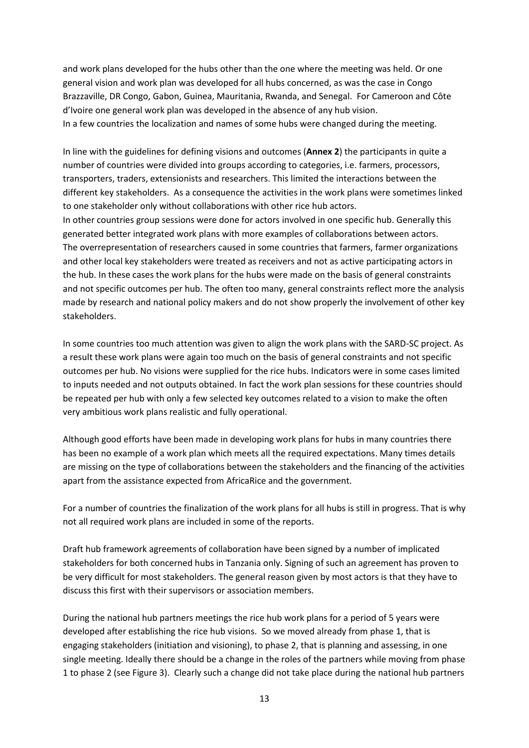and work plans developed for the hubs other than the one where the meeting was held. Or one general vision and work plan was developed for all hubs concerned, as was the case in Congo Brazzaville, DR Congo, Gabon, Guinea, Mauritania, Rwanda, and Senegal. For Cameroon and Côte d'Ivoire one general work plan was developed in the absence of any hub vision. In a few countries the localization and names of some hubs were changed during the meeting.

In line with the guidelines for defining visions and outcomes (**Annex 2**) the participants in quite a number of countries were divided into groups according to categories, i.e. farmers, processors, transporters, traders, extensionists and researchers. This limited the interactions between the different key stakeholders. As a consequence the activities in the work plans were sometimes linked to one stakeholder only without collaborations with other rice hub actors. In other countries group sessions were done for actors involved in one specific hub. Generally this generated better integrated work plans with more examples of collaborations between actors. The overrepresentation of researchers caused in some countries that farmers, farmer organizations and other local key stakeholders were treated as receivers and not as active participating actors in the hub. In these cases the work plans for the hubs were made on the basis of general constraints and not specific outcomes per hub. The often too many, general constraints reflect more the analysis made by research and national policy makers and do not show properly the involvement of other key stakeholders.

In some countries too much attention was given to align the work plans with the SARD-SC project. As a result these work plans were again too much on the basis of general constraints and not specific outcomes per hub. No visions were supplied for the rice hubs. Indicators were in some cases limited to inputs needed and not outputs obtained. In fact the work plan sessions for these countries should be repeated per hub with only a few selected key outcomes related to a vision to make the often very ambitious work plans realistic and fully operational.

Although good efforts have been made in developing work plans for hubs in many countries there has been no example of a work plan which meets all the required expectations. Many times details are missing on the type of collaborations between the stakeholders and the financing of the activities apart from the assistance expected from AfricaRice and the government.

For a number of countries the finalization of the work plans for all hubs is still in progress. That is why not all required work plans are included in some of the reports.

Draft hub framework agreements of collaboration have been signed by a number of implicated stakeholders for both concerned hubs in Tanzania only. Signing of such an agreement has proven to be very difficult for most stakeholders. The general reason given by most actors is that they have to discuss this first with their supervisors or association members.

During the national hub partners meetings the rice hub work plans for a period of 5 years were developed after establishing the rice hub visions. So we moved already from phase 1, that is engaging stakeholders (initiation and visioning), to phase 2, that is planning and assessing, in one single meeting. Ideally there should be a change in the roles of the partners while moving from phase 1 to phase 2 (see Figure 3). Clearly such a change did not take place during the national hub partners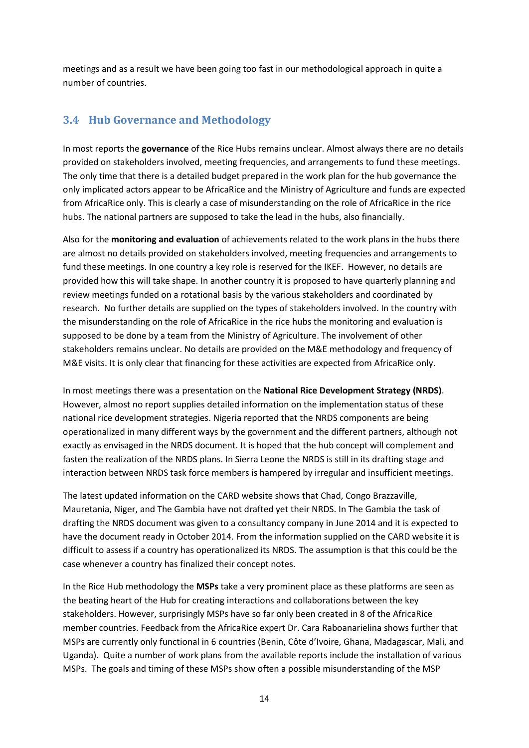meetings and as a result we have been going too fast in our methodological approach in quite a number of countries.

## <span id="page-14-0"></span>**3.4 Hub Governance and Methodology**

In most reports the **governance** of the Rice Hubs remains unclear. Almost always there are no details provided on stakeholders involved, meeting frequencies, and arrangements to fund these meetings. The only time that there is a detailed budget prepared in the work plan for the hub governance the only implicated actors appear to be AfricaRice and the Ministry of Agriculture and funds are expected from AfricaRice only. This is clearly a case of misunderstanding on the role of AfricaRice in the rice hubs. The national partners are supposed to take the lead in the hubs, also financially.

Also for the **monitoring and evaluation** of achievements related to the work plans in the hubs there are almost no details provided on stakeholders involved, meeting frequencies and arrangements to fund these meetings. In one country a key role is reserved for the IKEF. However, no details are provided how this will take shape. In another country it is proposed to have quarterly planning and review meetings funded on a rotational basis by the various stakeholders and coordinated by research. No further details are supplied on the types of stakeholders involved. In the country with the misunderstanding on the role of AfricaRice in the rice hubs the monitoring and evaluation is supposed to be done by a team from the Ministry of Agriculture. The involvement of other stakeholders remains unclear. No details are provided on the M&E methodology and frequency of M&E visits. It is only clear that financing for these activities are expected from AfricaRice only.

In most meetings there was a presentation on the **National Rice Development Strategy (NRDS)**. However, almost no report supplies detailed information on the implementation status of these national rice development strategies. Nigeria reported that the NRDS components are being operationalized in many different ways by the government and the different partners, although not exactly as envisaged in the NRDS document. It is hoped that the hub concept will complement and fasten the realization of the NRDS plans. In Sierra Leone the NRDS is still in its drafting stage and interaction between NRDS task force members is hampered by irregular and insufficient meetings.

The latest updated information on the CARD website shows that Chad, Congo Brazzaville, Mauretania, Niger, and The Gambia have not drafted yet their NRDS. In The Gambia the task of drafting the NRDS document was given to a consultancy company in June 2014 and it is expected to have the document ready in October 2014. From the information supplied on the CARD website it is difficult to assess if a country has operationalized its NRDS. The assumption is that this could be the case whenever a country has finalized their concept notes.

In the Rice Hub methodology the **MSPs** take a very prominent place as these platforms are seen as the beating heart of the Hub for creating interactions and collaborations between the key stakeholders. However, surprisingly MSPs have so far only been created in 8 of the AfricaRice member countries. Feedback from the AfricaRice expert Dr. Cara Raboanarielina shows further that MSPs are currently only functional in 6 countries (Benin, Côte d'Ivoire, Ghana, Madagascar, Mali, and Uganda). Quite a number of work plans from the available reports include the installation of various MSPs. The goals and timing of these MSPs show often a possible misunderstanding of the MSP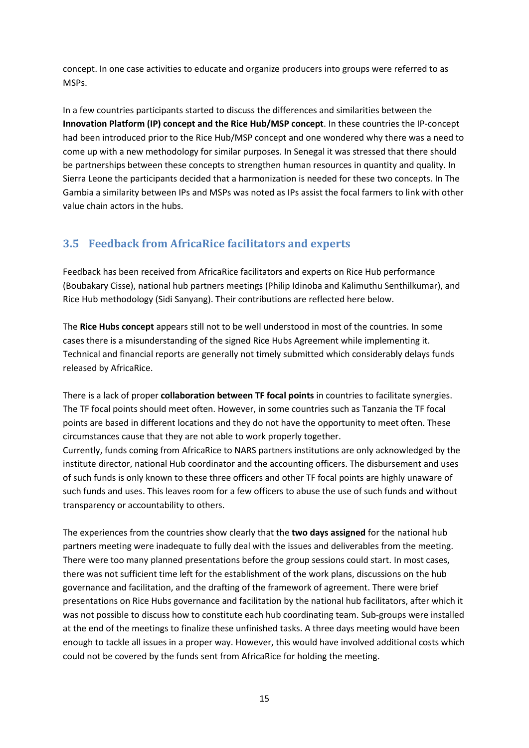concept. In one case activities to educate and organize producers into groups were referred to as MSPs.

In a few countries participants started to discuss the differences and similarities between the **Innovation Platform (IP) concept and the Rice Hub/MSP concept**. In these countries the IP-concept had been introduced prior to the Rice Hub/MSP concept and one wondered why there was a need to come up with a new methodology for similar purposes. In Senegal it was stressed that there should be partnerships between these concepts to strengthen human resources in quantity and quality. In Sierra Leone the participants decided that a harmonization is needed for these two concepts. In The Gambia a similarity between IPs and MSPs was noted as IPs assist the focal farmers to link with other value chain actors in the hubs.

## <span id="page-15-0"></span>**3.5 Feedback from AfricaRice facilitators and experts**

Feedback has been received from AfricaRice facilitators and experts on Rice Hub performance (Boubakary Cisse), national hub partners meetings (Philip Idinoba and Kalimuthu Senthilkumar), and Rice Hub methodology (Sidi Sanyang). Their contributions are reflected here below.

The **Rice Hubs concept** appears still not to be well understood in most of the countries. In some cases there is a misunderstanding of the signed Rice Hubs Agreement while implementing it. Technical and financial reports are generally not timely submitted which considerably delays funds released by AfricaRice.

There is a lack of proper **collaboration between TF focal points** in countries to facilitate synergies. The TF focal points should meet often. However, in some countries such as Tanzania the TF focal points are based in different locations and they do not have the opportunity to meet often. These circumstances cause that they are not able to work properly together.

Currently, funds coming from AfricaRice to NARS partners institutions are only acknowledged by the institute director, national Hub coordinator and the accounting officers. The disbursement and uses of such funds is only known to these three officers and other TF focal points are highly unaware of such funds and uses. This leaves room for a few officers to abuse the use of such funds and without transparency or accountability to others.

The experiences from the countries show clearly that the **two days assigned** for the national hub partners meeting were inadequate to fully deal with the issues and deliverables from the meeting. There were too many planned presentations before the group sessions could start. In most cases, there was not sufficient time left for the establishment of the work plans, discussions on the hub governance and facilitation, and the drafting of the framework of agreement. There were brief presentations on Rice Hubs governance and facilitation by the national hub facilitators, after which it was not possible to discuss how to constitute each hub coordinating team. Sub-groups were installed at the end of the meetings to finalize these unfinished tasks. A three days meeting would have been enough to tackle all issues in a proper way. However, this would have involved additional costs which could not be covered by the funds sent from AfricaRice for holding the meeting.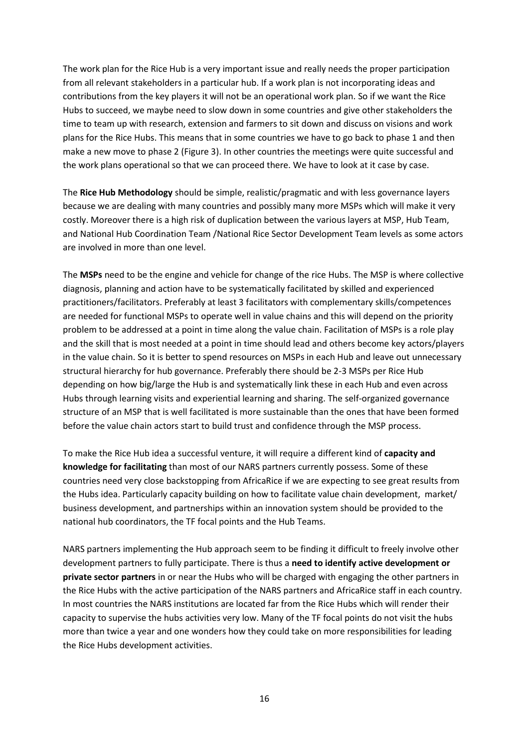The work plan for the Rice Hub is a very important issue and really needs the proper participation from all relevant stakeholders in a particular hub. If a work plan is not incorporating ideas and contributions from the key players it will not be an operational work plan. So if we want the Rice Hubs to succeed, we maybe need to slow down in some countries and give other stakeholders the time to team up with research, extension and farmers to sit down and discuss on visions and work plans for the Rice Hubs. This means that in some countries we have to go back to phase 1 and then make a new move to phase 2 (Figure 3). In other countries the meetings were quite successful and the work plans operational so that we can proceed there. We have to look at it case by case.

The **Rice Hub Methodology** should be simple, realistic/pragmatic and with less governance layers because we are dealing with many countries and possibly many more MSPs which will make it very costly. Moreover there is a high risk of duplication between the various layers at MSP, Hub Team, and National Hub Coordination Team /National Rice Sector Development Team levels as some actors are involved in more than one level.

The **MSPs** need to be the engine and vehicle for change of the rice Hubs. The MSP is where collective diagnosis, planning and action have to be systematically facilitated by skilled and experienced practitioners/facilitators. Preferably at least 3 facilitators with complementary skills/competences are needed for functional MSPs to operate well in value chains and this will depend on the priority problem to be addressed at a point in time along the value chain. Facilitation of MSPs is a role play and the skill that is most needed at a point in time should lead and others become key actors/players in the value chain. So it is better to spend resources on MSPs in each Hub and leave out unnecessary structural hierarchy for hub governance. Preferably there should be 2-3 MSPs per Rice Hub depending on how big/large the Hub is and systematically link these in each Hub and even across Hubs through learning visits and experiential learning and sharing. The self-organized governance structure of an MSP that is well facilitated is more sustainable than the ones that have been formed before the value chain actors start to build trust and confidence through the MSP process.

To make the Rice Hub idea a successful venture, it will require a different kind of **capacity and knowledge for facilitating** than most of our NARS partners currently possess. Some of these countries need very close backstopping from AfricaRice if we are expecting to see great results from the Hubs idea. Particularly capacity building on how to facilitate value chain development, market/ business development, and partnerships within an innovation system should be provided to the national hub coordinators, the TF focal points and the Hub Teams.

NARS partners implementing the Hub approach seem to be finding it difficult to freely involve other development partners to fully participate. There is thus a **need to identify active development or private sector partners** in or near the Hubs who will be charged with engaging the other partners in the Rice Hubs with the active participation of the NARS partners and AfricaRice staff in each country. In most countries the NARS institutions are located far from the Rice Hubs which will render their capacity to supervise the hubs activities very low. Many of the TF focal points do not visit the hubs more than twice a year and one wonders how they could take on more responsibilities for leading the Rice Hubs development activities.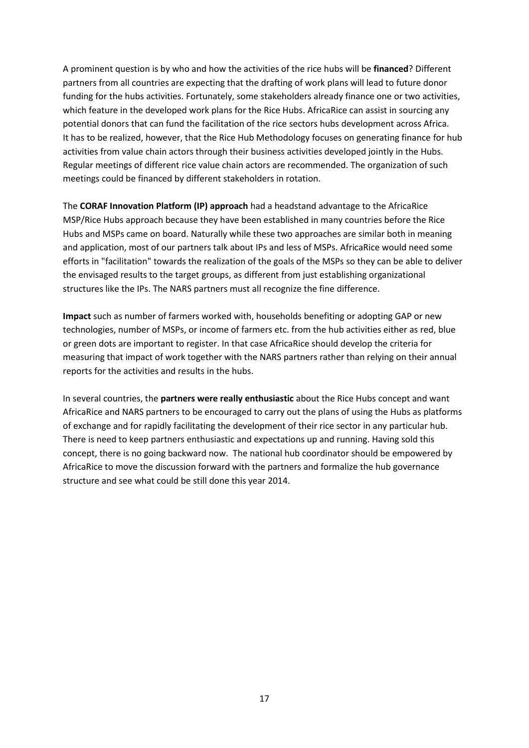A prominent question is by who and how the activities of the rice hubs will be **financed**? Different partners from all countries are expecting that the drafting of work plans will lead to future donor funding for the hubs activities. Fortunately, some stakeholders already finance one or two activities, which feature in the developed work plans for the Rice Hubs. AfricaRice can assist in sourcing any potential donors that can fund the facilitation of the rice sectors hubs development across Africa. It has to be realized, however, that the Rice Hub Methodology focuses on generating finance for hub activities from value chain actors through their business activities developed jointly in the Hubs. Regular meetings of different rice value chain actors are recommended. The organization of such meetings could be financed by different stakeholders in rotation.

The **CORAF Innovation Platform (IP) approach** had a headstand advantage to the AfricaRice MSP/Rice Hubs approach because they have been established in many countries before the Rice Hubs and MSPs came on board. Naturally while these two approaches are similar both in meaning and application, most of our partners talk about IPs and less of MSPs. AfricaRice would need some efforts in "facilitation" towards the realization of the goals of the MSPs so they can be able to deliver the envisaged results to the target groups, as different from just establishing organizational structures like the IPs. The NARS partners must all recognize the fine difference.

**Impact** such as number of farmers worked with, households benefiting or adopting GAP or new technologies, number of MSPs, or income of farmers etc. from the hub activities either as red, blue or green dots are important to register. In that case AfricaRice should develop the criteria for measuring that impact of work together with the NARS partners rather than relying on their annual reports for the activities and results in the hubs.

In several countries, the **partners were really enthusiastic** about the Rice Hubs concept and want AfricaRice and NARS partners to be encouraged to carry out the plans of using the Hubs as platforms of exchange and for rapidly facilitating the development of their rice sector in any particular hub. There is need to keep partners enthusiastic and expectations up and running. Having sold this concept, there is no going backward now. The national hub coordinator should be empowered by AfricaRice to move the discussion forward with the partners and formalize the hub governance structure and see what could be still done this year 2014.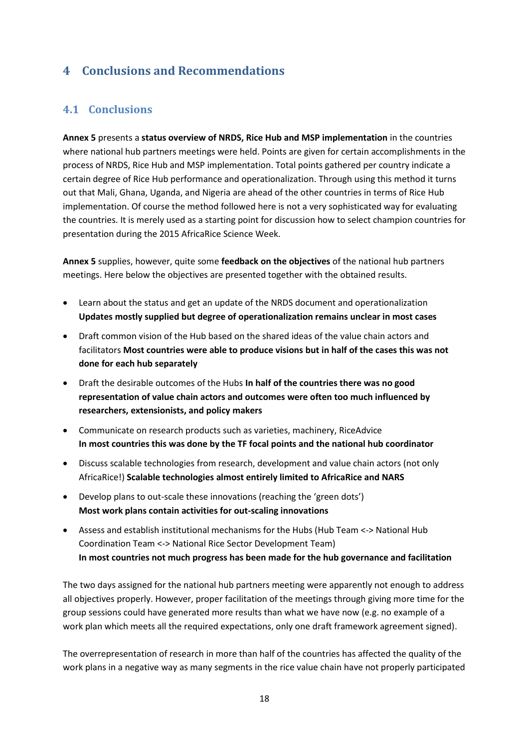## <span id="page-18-0"></span>**4 Conclusions and Recommendations**

## <span id="page-18-1"></span>**4.1 Conclusions**

**Annex 5** presents a **status overview of NRDS, Rice Hub and MSP implementation** in the countries where national hub partners meetings were held. Points are given for certain accomplishments in the process of NRDS, Rice Hub and MSP implementation. Total points gathered per country indicate a certain degree of Rice Hub performance and operationalization. Through using this method it turns out that Mali, Ghana, Uganda, and Nigeria are ahead of the other countries in terms of Rice Hub implementation. Of course the method followed here is not a very sophisticated way for evaluating the countries. It is merely used as a starting point for discussion how to select champion countries for presentation during the 2015 AfricaRice Science Week.

**Annex 5** supplies, however, quite some **feedback on the objectives** of the national hub partners meetings. Here below the objectives are presented together with the obtained results.

- Learn about the status and get an update of the NRDS document and operationalization **Updates mostly supplied but degree of operationalization remains unclear in most cases**
- Draft common vision of the Hub based on the shared ideas of the value chain actors and facilitators **Most countries were able to produce visions but in half of the cases this was not done for each hub separately**
- Draft the desirable outcomes of the Hubs **In half of the countries there was no good representation of value chain actors and outcomes were often too much influenced by researchers, extensionists, and policy makers**
- Communicate on research products such as varieties, machinery, RiceAdvice **In most countries this was done by the TF focal points and the national hub coordinator**
- Discuss scalable technologies from research, development and value chain actors (not only AfricaRice!) **Scalable technologies almost entirely limited to AfricaRice and NARS**
- Develop plans to out-scale these innovations (reaching the 'green dots') **Most work plans contain activities for out-scaling innovations**
- Assess and establish institutional mechanisms for the Hubs (Hub Team <-> National Hub Coordination Team <-> National Rice Sector Development Team) **In most countries not much progress has been made for the hub governance and facilitation**

The two days assigned for the national hub partners meeting were apparently not enough to address all objectives properly. However, proper facilitation of the meetings through giving more time for the group sessions could have generated more results than what we have now (e.g. no example of a work plan which meets all the required expectations, only one draft framework agreement signed).

The overrepresentation of research in more than half of the countries has affected the quality of the work plans in a negative way as many segments in the rice value chain have not properly participated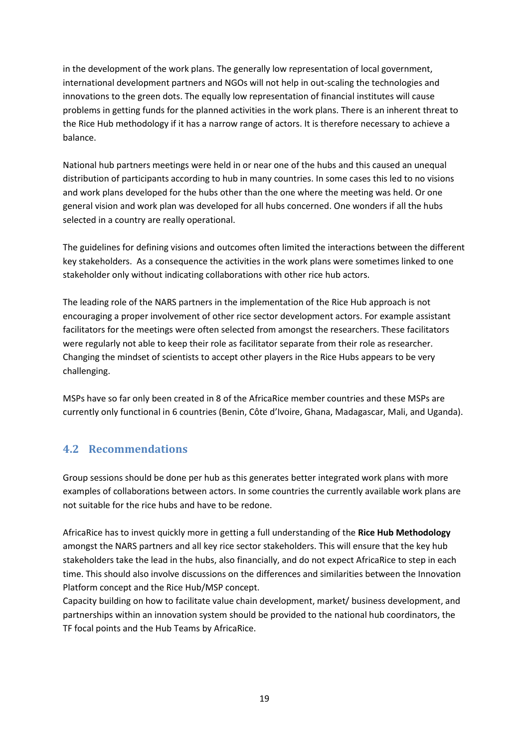in the development of the work plans. The generally low representation of local government, international development partners and NGOs will not help in out-scaling the technologies and innovations to the green dots. The equally low representation of financial institutes will cause problems in getting funds for the planned activities in the work plans. There is an inherent threat to the Rice Hub methodology if it has a narrow range of actors. It is therefore necessary to achieve a balance.

National hub partners meetings were held in or near one of the hubs and this caused an unequal distribution of participants according to hub in many countries. In some cases this led to no visions and work plans developed for the hubs other than the one where the meeting was held. Or one general vision and work plan was developed for all hubs concerned. One wonders if all the hubs selected in a country are really operational.

The guidelines for defining visions and outcomes often limited the interactions between the different key stakeholders. As a consequence the activities in the work plans were sometimes linked to one stakeholder only without indicating collaborations with other rice hub actors.

The leading role of the NARS partners in the implementation of the Rice Hub approach is not encouraging a proper involvement of other rice sector development actors. For example assistant facilitators for the meetings were often selected from amongst the researchers. These facilitators were regularly not able to keep their role as facilitator separate from their role as researcher. Changing the mindset of scientists to accept other players in the Rice Hubs appears to be very challenging.

MSPs have so far only been created in 8 of the AfricaRice member countries and these MSPs are currently only functional in 6 countries (Benin, Côte d'Ivoire, Ghana, Madagascar, Mali, and Uganda).

## <span id="page-19-0"></span>**4.2 Recommendations**

Group sessions should be done per hub as this generates better integrated work plans with more examples of collaborations between actors. In some countries the currently available work plans are not suitable for the rice hubs and have to be redone.

AfricaRice has to invest quickly more in getting a full understanding of the **Rice Hub Methodology** amongst the NARS partners and all key rice sector stakeholders. This will ensure that the key hub stakeholders take the lead in the hubs, also financially, and do not expect AfricaRice to step in each time. This should also involve discussions on the differences and similarities between the Innovation Platform concept and the Rice Hub/MSP concept.

Capacity building on how to facilitate value chain development, market/ business development, and partnerships within an innovation system should be provided to the national hub coordinators, the TF focal points and the Hub Teams by AfricaRice.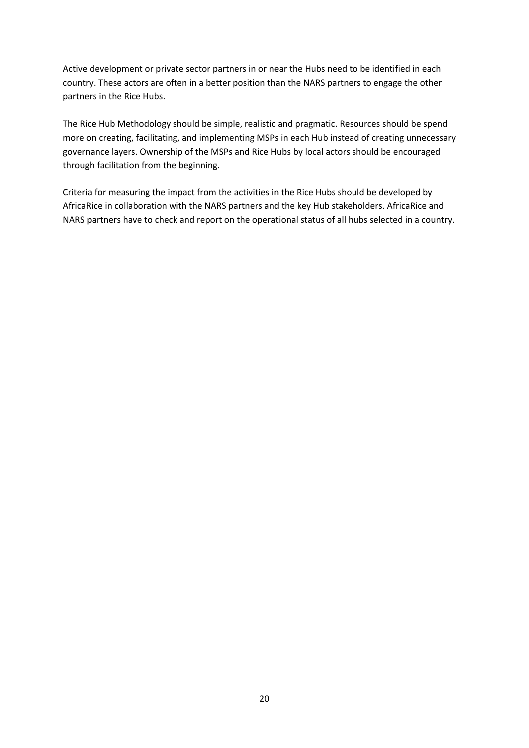Active development or private sector partners in or near the Hubs need to be identified in each country. These actors are often in a better position than the NARS partners to engage the other partners in the Rice Hubs.

The Rice Hub Methodology should be simple, realistic and pragmatic. Resources should be spend more on creating, facilitating, and implementing MSPs in each Hub instead of creating unnecessary governance layers. Ownership of the MSPs and Rice Hubs by local actors should be encouraged through facilitation from the beginning.

Criteria for measuring the impact from the activities in the Rice Hubs should be developed by AfricaRice in collaboration with the NARS partners and the key Hub stakeholders. AfricaRice and NARS partners have to check and report on the operational status of all hubs selected in a country.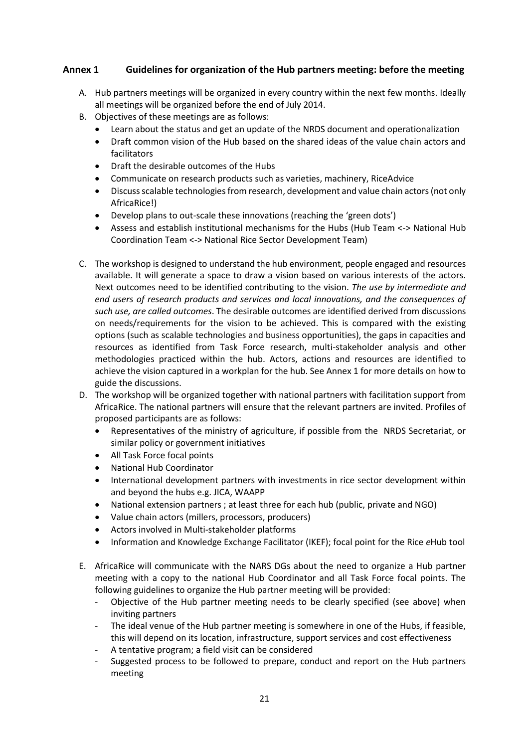#### **Annex 1 Guidelines for organization of the Hub partners meeting: before the meeting**

- A. Hub partners meetings will be organized in every country within the next few months. Ideally all meetings will be organized before the end of July 2014.
- B. Objectives of these meetings are as follows:
	- Learn about the status and get an update of the NRDS document and operationalization
	- Draft common vision of the Hub based on the shared ideas of the value chain actors and facilitators
	- Draft the desirable outcomes of the Hubs
	- Communicate on research products such as varieties, machinery, RiceAdvice
	- Discuss scalable technologies from research, development and value chain actors (not only AfricaRice!)
	- Develop plans to out-scale these innovations (reaching the 'green dots')
	- Assess and establish institutional mechanisms for the Hubs (Hub Team <-> National Hub Coordination Team <-> National Rice Sector Development Team)
- C. The workshop is designed to understand the hub environment, people engaged and resources available. It will generate a space to draw a vision based on various interests of the actors. Next outcomes need to be identified contributing to the vision. *The use by intermediate and end users of research products and services and local innovations, and the consequences of such use, are called outcomes*. The desirable outcomes are identified derived from discussions on needs/requirements for the vision to be achieved. This is compared with the existing options (such as scalable technologies and business opportunities), the gaps in capacities and resources as identified from Task Force research, multi-stakeholder analysis and other methodologies practiced within the hub. Actors, actions and resources are identified to achieve the vision captured in a workplan for the hub. See Annex 1 for more details on how to guide the discussions.
- D. The workshop will be organized together with national partners with facilitation support from AfricaRice. The national partners will ensure that the relevant partners are invited. Profiles of proposed participants are as follows:
	- Representatives of the ministry of agriculture, if possible from the NRDS Secretariat, or similar policy or government initiatives
	- All Task Force focal points
	- National Hub Coordinator
	- International development partners with investments in rice sector development within and beyond the hubs e.g. JICA, WAAPP
	- National extension partners ; at least three for each hub (public, private and NGO)
	- Value chain actors (millers, processors, producers)
	- Actors involved in Multi-stakeholder platforms
	- Information and Knowledge Exchange Facilitator (IKEF); focal point for the Rice *e*Hub tool
- E. AfricaRice will communicate with the NARS DGs about the need to organize a Hub partner meeting with a copy to the national Hub Coordinator and all Task Force focal points. The following guidelines to organize the Hub partner meeting will be provided:
	- Objective of the Hub partner meeting needs to be clearly specified (see above) when inviting partners
	- The ideal venue of the Hub partner meeting is somewhere in one of the Hubs, if feasible, this will depend on its location, infrastructure, support services and cost effectiveness
	- A tentative program; a field visit can be considered
	- Suggested process to be followed to prepare, conduct and report on the Hub partners meeting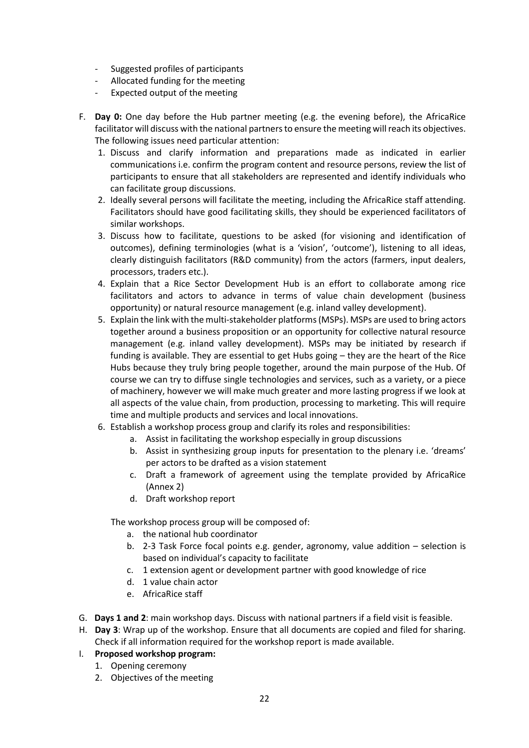- Suggested profiles of participants
- Allocated funding for the meeting
- Expected output of the meeting
- F. **Day 0:** One day before the Hub partner meeting (e.g. the evening before), the AfricaRice facilitator will discuss with the national partners to ensure the meeting will reach its objectives. The following issues need particular attention:
	- 1. Discuss and clarify information and preparations made as indicated in earlier communications i.e. confirm the program content and resource persons, review the list of participants to ensure that all stakeholders are represented and identify individuals who can facilitate group discussions.
	- 2. Ideally several persons will facilitate the meeting, including the AfricaRice staff attending. Facilitators should have good facilitating skills, they should be experienced facilitators of similar workshops.
	- 3. Discuss how to facilitate, questions to be asked (for visioning and identification of outcomes), defining terminologies (what is a 'vision', 'outcome'), listening to all ideas, clearly distinguish facilitators (R&D community) from the actors (farmers, input dealers, processors, traders etc.).
	- 4. Explain that a Rice Sector Development Hub is an effort to collaborate among rice facilitators and actors to advance in terms of value chain development (business opportunity) or natural resource management (e.g. inland valley development).
	- 5. Explain the link with the multi-stakeholder platforms (MSPs). MSPs are used to bring actors together around a business proposition or an opportunity for collective natural resource management (e.g. inland valley development). MSPs may be initiated by research if funding is available. They are essential to get Hubs going – they are the heart of the Rice Hubs because they truly bring people together, around the main purpose of the Hub. Of course we can try to diffuse single technologies and services, such as a variety, or a piece of machinery, however we will make much greater and more lasting progress if we look at all aspects of the value chain, from production, processing to marketing. This will require time and multiple products and services and local innovations.
	- 6. Establish a workshop process group and clarify its roles and responsibilities:
		- a. Assist in facilitating the workshop especially in group discussions
		- b. Assist in synthesizing group inputs for presentation to the plenary i.e. 'dreams' per actors to be drafted as a vision statement
		- c. Draft a framework of agreement using the template provided by AfricaRice (Annex 2)
		- d. Draft workshop report

The workshop process group will be composed of:

- a. the national hub coordinator
- b. 2-3 Task Force focal points e.g. gender, agronomy, value addition selection is based on individual's capacity to facilitate
- c. 1 extension agent or development partner with good knowledge of rice
- d. 1 value chain actor
- e. AfricaRice staff
- G. **Days 1 and 2**: main workshop days. Discuss with national partners if a field visit is feasible.
- H. **Day 3**: Wrap up of the workshop. Ensure that all documents are copied and filed for sharing. Check if all information required for the workshop report is made available.
- I. **Proposed workshop program:**
	- 1. Opening ceremony
	- 2. Objectives of the meeting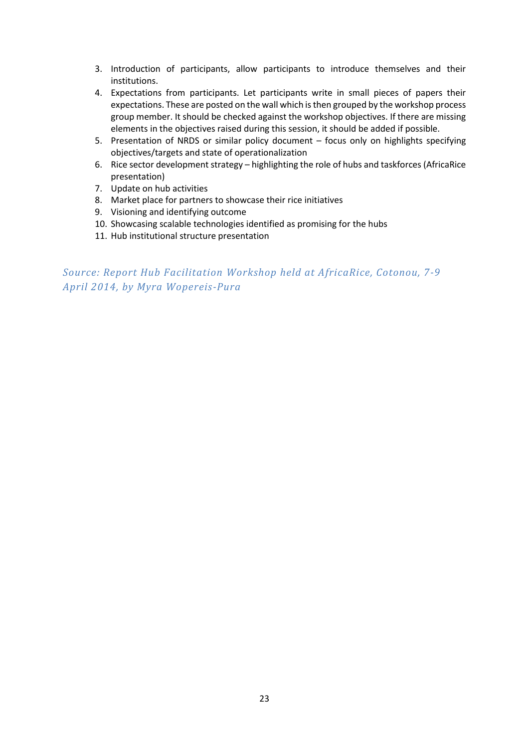- 3. Introduction of participants, allow participants to introduce themselves and their institutions.
- 4. Expectations from participants. Let participants write in small pieces of papers their expectations. These are posted on the wall which is then grouped by the workshop process group member. It should be checked against the workshop objectives. If there are missing elements in the objectives raised during this session, it should be added if possible.
- 5. Presentation of NRDS or similar policy document focus only on highlights specifying objectives/targets and state of operationalization
- 6. Rice sector development strategy highlighting the role of hubs and taskforces (AfricaRice presentation)
- 7. Update on hub activities
- 8. Market place for partners to showcase their rice initiatives
- 9. Visioning and identifying outcome
- 10. Showcasing scalable technologies identified as promising for the hubs
- 11. Hub institutional structure presentation

*Source: Report Hub Facilitation Workshop held at AfricaRice, Cotonou, 7-9 April 2014, by Myra Wopereis-Pura*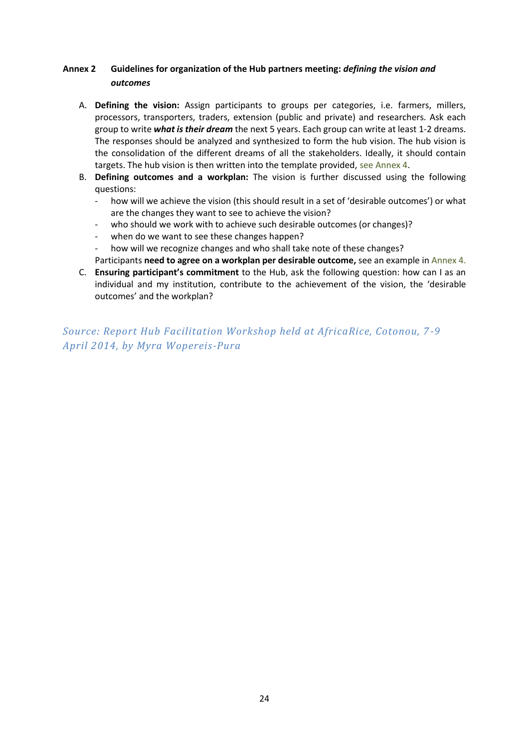#### **Annex 2 Guidelines for organization of the Hub partners meeting:** *defining the vision and outcomes*

- A. **Defining the vision:** Assign participants to groups per categories, i.e. farmers, millers, processors, transporters, traders, extension (public and private) and researchers. Ask each group to write *what is their dream* the next 5 years. Each group can write at least 1-2 dreams. The responses should be analyzed and synthesized to form the hub vision. The hub vision is the consolidation of the different dreams of all the stakeholders. Ideally, it should contain targets. The hub vision is then written into the template provided, see Annex 4.
- B. **Defining outcomes and a workplan:** The vision is further discussed using the following questions:
	- how will we achieve the vision (this should result in a set of 'desirable outcomes') or what are the changes they want to see to achieve the vision?
	- who should we work with to achieve such desirable outcomes (or changes)?
	- when do we want to see these changes happen?
	- how will we recognize changes and who shall take note of these changes?
	- Participants **need to agree on a workplan per desirable outcome,** see an example in Annex 4.
- C. **Ensuring participant's commitment** to the Hub, ask the following question: how can I as an individual and my institution, contribute to the achievement of the vision, the 'desirable outcomes' and the workplan?

*Source: Report Hub Facilitation Workshop held at AfricaRice, Cotonou, 7 -9 April 2014, by Myra Wopereis-Pura*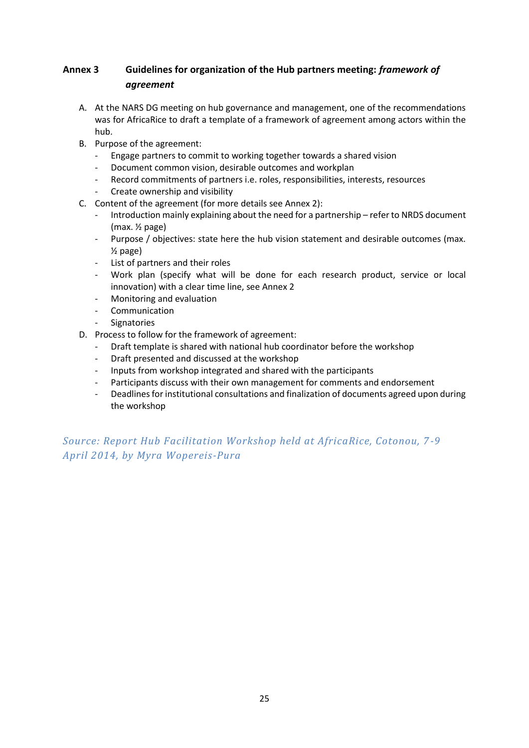#### **Annex 3 Guidelines for organization of the Hub partners meeting:** *framework of agreement*

- A. At the NARS DG meeting on hub governance and management, one of the recommendations was for AfricaRice to draft a template of a framework of agreement among actors within the hub.
- B. Purpose of the agreement:
	- Engage partners to commit to working together towards a shared vision
	- Document common vision, desirable outcomes and workplan
	- Record commitments of partners i.e. roles, responsibilities, interests, resources
	- Create ownership and visibility
- C. Content of the agreement (for more details see Annex 2):
	- Introduction mainly explaining about the need for a partnership refer to NRDS document (max. ½ page)
	- Purpose / objectives: state here the hub vision statement and desirable outcomes (max. ½ page)
	- List of partners and their roles
	- Work plan (specify what will be done for each research product, service or local innovation) with a clear time line, see Annex 2
	- Monitoring and evaluation
	- Communication
	- **Signatories**
- D. Process to follow for the framework of agreement:
	- Draft template is shared with national hub coordinator before the workshop
	- Draft presented and discussed at the workshop
	- Inputs from workshop integrated and shared with the participants
	- Participants discuss with their own management for comments and endorsement
	- Deadlines for institutional consultations and finalization of documents agreed upon during the workshop

*Source: Report Hub Facilitation Workshop held at AfricaRice, Cotonou, 7 -9 April 2014, by Myra Wopereis-Pura*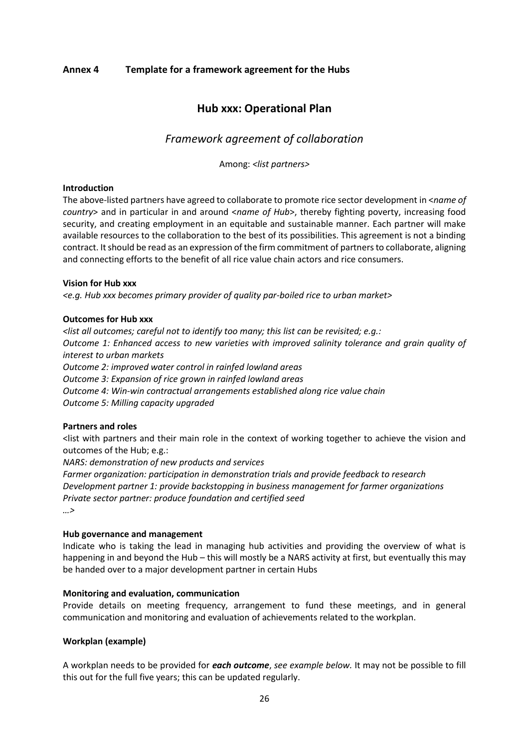#### **Annex 4 Template for a framework agreement for the Hubs**

#### **Hub xxx: Operational Plan**

#### *Framework agreement of collaboration*

Among: *<list partners>*

#### **Introduction**

The above-listed partners have agreed to collaborate to promote rice sector development in <*name of country*> and in particular in and around <*name of Hub*>, thereby fighting poverty, increasing food security, and creating employment in an equitable and sustainable manner. Each partner will make available resources to the collaboration to the best of its possibilities. This agreement is not a binding contract. It should be read as an expression of the firm commitment of partners to collaborate, aligning and connecting efforts to the benefit of all rice value chain actors and rice consumers.

#### **Vision for Hub xxx**

*<e.g. Hub xxx becomes primary provider of quality par-boiled rice to urban market>*

#### **Outcomes for Hub xxx**

*<list all outcomes; careful not to identify too many; this list can be revisited; e.g.: Outcome 1: Enhanced access to new varieties with improved salinity tolerance and grain quality of interest to urban markets Outcome 2: improved water control in rainfed lowland areas Outcome 3: Expansion of rice grown in rainfed lowland areas Outcome 4: Win-win contractual arrangements established along rice value chain Outcome 5: Milling capacity upgraded*

#### **Partners and roles**

<list with partners and their main role in the context of working together to achieve the vision and outcomes of the Hub; e.g.:

*NARS: demonstration of new products and services Farmer organization: participation in demonstration trials and provide feedback to research Development partner 1: provide backstopping in business management for farmer organizations Private sector partner: produce foundation and certified seed*

*…>*

#### **Hub governance and management**

Indicate who is taking the lead in managing hub activities and providing the overview of what is happening in and beyond the Hub – this will mostly be a NARS activity at first, but eventually this may be handed over to a major development partner in certain Hubs

#### **Monitoring and evaluation, communication**

Provide details on meeting frequency, arrangement to fund these meetings, and in general communication and monitoring and evaluation of achievements related to the workplan.

#### **Workplan (example)**

A workplan needs to be provided for *each outcome*, *see example below.* It may not be possible to fill this out for the full five years; this can be updated regularly.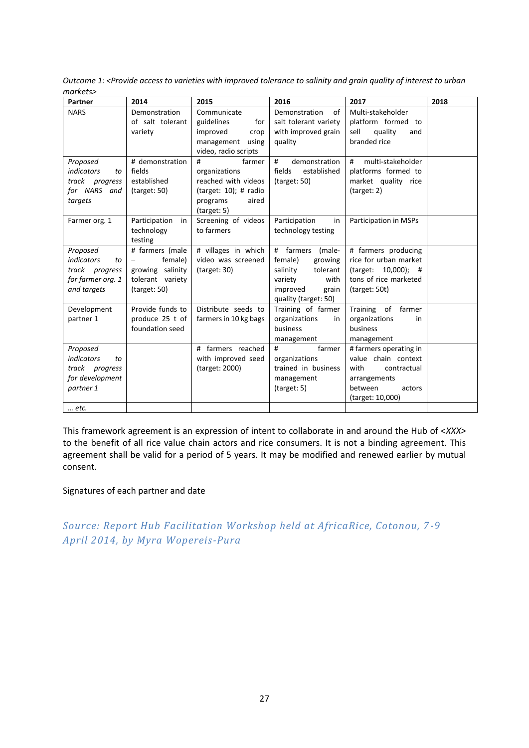| Partner                 | 2014                       | 2015                     | 2016                       | 2017                   | 2018 |
|-------------------------|----------------------------|--------------------------|----------------------------|------------------------|------|
| <b>NARS</b>             | Demonstration              | Communicate              | Demonstration<br>of        | Multi-stakeholder      |      |
|                         | of salt tolerant           | guidelines<br>for        | salt tolerant variety      | platform formed to     |      |
|                         | variety                    | improved<br>crop         | with improved grain        | sell<br>quality<br>and |      |
|                         |                            | management<br>using      | quality                    | branded rice           |      |
|                         |                            | video, radio scripts     |                            |                        |      |
| Proposed                | # demonstration            | #<br>farmer              | #<br>demonstration         | multi-stakeholder<br># |      |
| <i>indicators</i><br>to | fields                     | organizations            | fields<br>established      | platforms formed to    |      |
| track progress          | established                | reached with videos      | $\frac{1}{2}$ (target: 50) | market quality rice    |      |
| for NARS and            | $\frac{1}{2}$ (target: 50) | (target: $10$ ); # radio |                            | $\frac{1}{2}$          |      |
| targets                 |                            | programs<br>aired        |                            |                        |      |
|                         |                            | (target: 5)              |                            |                        |      |
| Farmer org. 1           | Participation<br>in        | Screening of videos      | Participation<br>in        | Participation in MSPs  |      |
|                         | technology                 | to farmers               | technology testing         |                        |      |
|                         | testing                    |                          |                            |                        |      |
| Proposed                | # farmers (male            | # villages in which      | # farmers<br>(male-        | # farmers producing    |      |
| indicators<br>to        | female)                    | video was screened       | female)<br>growing         | rice for urban market  |      |
| track progress          | growing salinity           | (target: 30)             | salinity<br>tolerant       | (target: 10,000); #    |      |
| for farmer org. 1       | tolerant variety           |                          | variety<br>with            | tons of rice marketed  |      |
| and targets             | (target: 50)               |                          | improved<br>grain          | (target: 50t)          |      |
|                         |                            |                          | quality (target: 50)       |                        |      |
| Development             | Provide funds to           | Distribute seeds to      | Training of farmer         | Training of farmer     |      |
| partner 1               | produce 25 t of            | farmers in 10 kg bags    | organizations<br>in        | organizations<br>in    |      |
|                         | foundation seed            |                          | business                   | business               |      |
|                         |                            |                          | management                 | management             |      |
| Proposed                |                            | # farmers reached        | #<br>farmer                | # farmers operating in |      |
| indicators<br>to        |                            | with improved seed       | organizations              | value chain context    |      |
| track progress          |                            | (target: 2000)           | trained in business        | with<br>contractual    |      |
| for development         |                            |                          | management                 | arrangements           |      |
| partner 1               |                            |                          | (target: 5)                | between<br>actors      |      |
|                         |                            |                          |                            | (target: 10,000)       |      |
| etc.                    |                            |                          |                            |                        |      |

*Outcome 1: <Provide access to varieties with improved tolerance to salinity and grain quality of interest to urban markets>*

This framework agreement is an expression of intent to collaborate in and around the Hub of <*XXX>*  to the benefit of all rice value chain actors and rice consumers. It is not a binding agreement. This agreement shall be valid for a period of 5 years. It may be modified and renewed earlier by mutual consent.

#### Signatures of each partner and date

## *Source: Report Hub Facilitation Workshop held at AfricaRice, Cotonou, 7 -9 April 2014, by Myra Wopereis-Pura*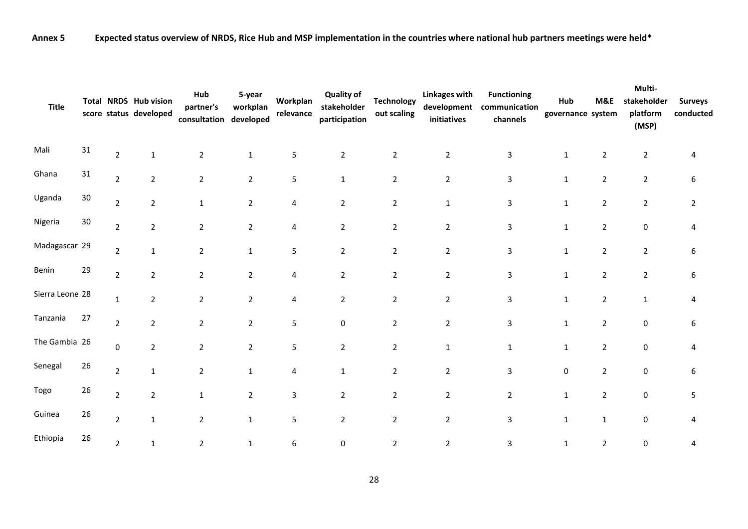**Annex 5 Expected status overview of NRDS, Rice Hub and MSP implementation in the countries where national hub partners meetings were held\***

| <b>Title</b>    |        |                | Total NRDS Hub vision<br>score status developed | Hub<br>partner's<br>consultation developed | 5-year<br>workplan | Workplan<br>relevance | <b>Quality of</b><br>stakeholder<br>participation | <b>Technology</b><br>out scaling | <b>Linkages with</b><br>development<br>initiatives | <b>Functioning</b><br>communication<br>channels | Hub<br>governance system | M&E            | Multi-<br>stakeholder<br>platform<br>(MSP) | <b>Surveys</b><br>conducted |
|-----------------|--------|----------------|-------------------------------------------------|--------------------------------------------|--------------------|-----------------------|---------------------------------------------------|----------------------------------|----------------------------------------------------|-------------------------------------------------|--------------------------|----------------|--------------------------------------------|-----------------------------|
| Mali            | 31     | $\overline{2}$ | $\mathbf{1}$                                    | $\overline{2}$                             | $\mathbf{1}$       | 5                     | $\overline{2}$                                    | $\overline{2}$                   | $\overline{2}$                                     | 3                                               | 1                        | $\overline{2}$ | $\overline{2}$                             | 4                           |
| Ghana           | 31     | $\overline{2}$ | $\overline{2}$                                  | $\overline{2}$                             | $\overline{2}$     | 5                     | $\mathbf{1}$                                      | $\overline{2}$                   | $\overline{2}$                                     | 3                                               | 1                        | $\overline{2}$ | $\overline{2}$                             | 6                           |
| Uganda          | $30\,$ | $\mathbf 2$    | $\overline{2}$                                  | $1\,$                                      | $\overline{2}$     | 4                     | $\overline{2}$                                    | $\overline{2}$                   | $\mathbf 1$                                        | 3                                               | $\mathbf{1}$             | $\overline{2}$ | $\mathbf 2$                                | $\overline{2}$              |
| Nigeria         | 30     | $\mathbf 2$    | $\overline{2}$                                  | $\overline{2}$                             | 2                  | 4                     | $\overline{2}$                                    | $\overline{2}$                   | $\overline{2}$                                     | 3                                               | 1                        | $\overline{2}$ | 0                                          | 4                           |
| Madagascar 29   |        | $\mathbf 2$    | $\mathbf{1}$                                    | $\overline{2}$                             | $\mathbf{1}$       | 5                     | $\overline{2}$                                    | $\overline{2}$                   | $\overline{2}$                                     | 3                                               | 1                        | $\overline{2}$ | $\overline{2}$                             | 6                           |
| Benin           | 29     | $\overline{2}$ | $\overline{2}$                                  | $\overline{2}$                             | $\overline{2}$     | 4                     | $\overline{2}$                                    | $\overline{2}$                   | $\overline{2}$                                     | 3                                               | $\mathbf{1}$             | $\overline{2}$ | $\overline{2}$                             | 6                           |
| Sierra Leone 28 |        | $\mathbf{1}$   | $\overline{2}$                                  | $\boldsymbol{2}$                           | $\overline{2}$     | 4                     | $\overline{2}$                                    | $\overline{2}$                   | $\mathbf 2$                                        | 3                                               | 1                        | $\overline{2}$ | $\mathbf 1$                                | 4                           |
| Tanzania        | 27     | $\overline{2}$ | $\overline{2}$                                  | $\overline{2}$                             | $\overline{2}$     | 5                     | $\pmb{0}$                                         | $\overline{2}$                   | $\overline{2}$                                     | 3                                               | 1                        | $\overline{2}$ | 0                                          | 6                           |
| The Gambia 26   |        | $\pmb{0}$      | $\overline{2}$                                  | $\overline{2}$                             | $\overline{2}$     | 5                     | $\overline{2}$                                    | $\overline{2}$                   | $\mathbf 1$                                        | $\mathbf{1}$                                    | 1                        | $\overline{2}$ | 0                                          | 4                           |
| Senegal         | 26     | $\mathbf 2$    | $\mathbf 1$                                     | $\boldsymbol{2}$                           | 1                  | 4                     | $\mathbf{1}$                                      | $\overline{2}$                   | $\overline{2}$                                     | 3                                               | 0                        | $\overline{2}$ | 0                                          | 6                           |
| Togo            | 26     | $\overline{2}$ | $\overline{2}$                                  | $\mathbf 1$                                | $\overline{2}$     | 3                     | $\overline{2}$                                    | $\overline{2}$                   | $\overline{2}$                                     | $\overline{2}$                                  | $\mathbf 1$              | $\overline{2}$ | 0                                          | 5                           |
| Guinea          | 26     | $\overline{2}$ | $\mathbf 1$                                     | $\overline{2}$                             | $\mathbf{1}$       | 5                     | $\overline{2}$                                    | $\overline{2}$                   | $\overline{2}$                                     | 3                                               | $\mathbf{1}$             | $1\,$          | 0                                          | 4                           |
| Ethiopia        | 26     | $\overline{2}$ | $\mathbf{1}$                                    | $\overline{2}$                             | $\mathbf{1}$       | 6                     | $\pmb{0}$                                         | $\overline{2}$                   | $\overline{2}$                                     | 3                                               | $\mathbf{1}$             | $\overline{2}$ | 0                                          | 4                           |